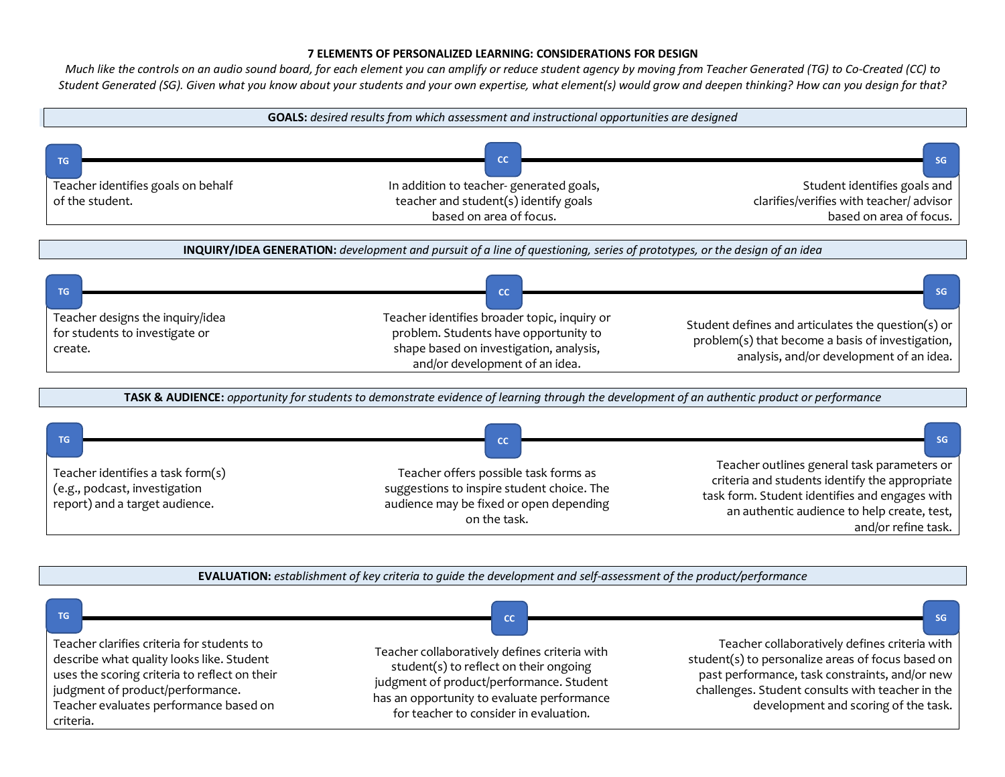## **7 ELEMENTS OF PERSONALIZED LEARNING: CONSIDERATIONS FOR DESIGN**

*Much like the controls on an audio sound board, for each element you can amplify or reduce student agency by moving from Teacher Generated (TG) to Co-Created (CC) to Student Generated (SG). Given what you know about your students and your own expertise, what element(s) would grow and deepen thinking? How can you design for that?*